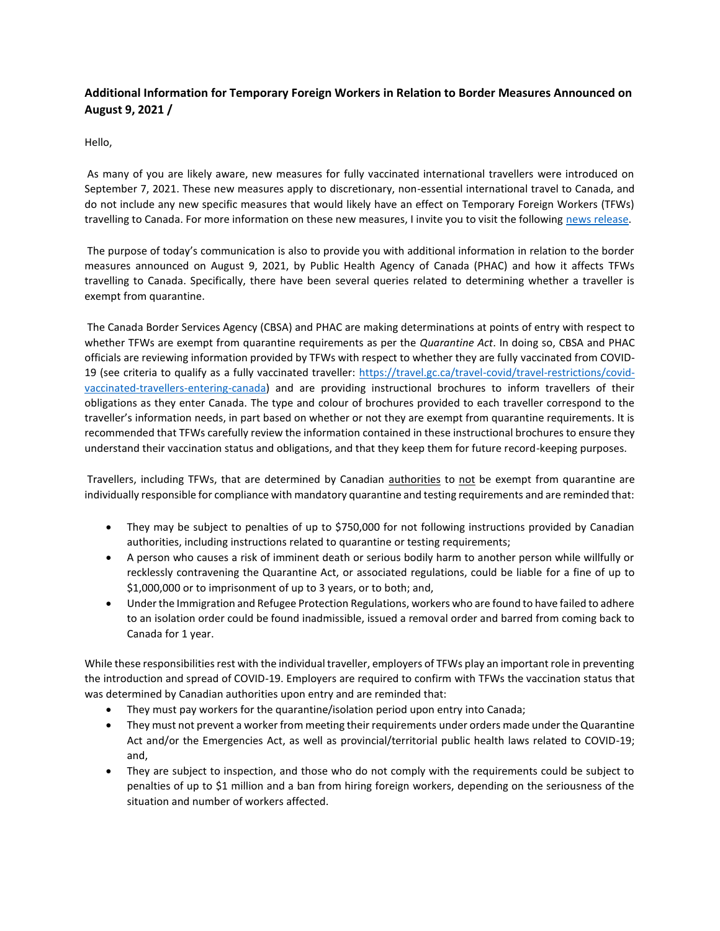## **Additional Information for Temporary Foreign Workers in Relation to Border Measures Announced on August 9, 2021 /**

Hello,

As many of you are likely aware, new measures for fully vaccinated international travellers were introduced on September 7, 2021. These new measures apply to discretionary, non-essential international travel to Canada, and do not include any new specific measures that would likely have an effect on Temporary Foreign Workers (TFWs) travelling to Canada. For more information on these new measures, I invite you to visit the following [news release.](https://can01.safelinks.protection.outlook.com/?url=https%3A%2F%2Fwww.canada.ca%2Fen%2Fborder-services-agency%2Fnews%2F2021%2F09%2Ftravel-advisory-reminder--on-september-7-new-measures-for-fully-vaccinated-international-travellers-to-canada-will-come-into-force.html&data=04%7C01%7CDIvany%40kairoscanada.org%7Cb490f771e94f4ddf1c5108d98288829d%7Ccf18b5a826784011931215f0f7157574%7C0%7C0%7C637684345081872308%7CUnknown%7CTWFpbGZsb3d8eyJWIjoiMC4wLjAwMDAiLCJQIjoiV2luMzIiLCJBTiI6Ik1haWwiLCJXVCI6Mn0%3D%7C1000&sdata=3t7t66fAPjjjaiK%2F2XI4hD0gqfjuMTKJxYKxfRxcU7E%3D&reserved=0)

The purpose of today's communication is also to provide you with additional information in relation to the border measures announced on August 9, 2021, by Public Health Agency of Canada (PHAC) and how it affects TFWs travelling to Canada. Specifically, there have been several queries related to determining whether a traveller is exempt from quarantine.

The Canada Border Services Agency (CBSA) and PHAC are making determinations at points of entry with respect to whether TFWs are exempt from quarantine requirements as per the *Quarantine Act*. In doing so, CBSA and PHAC officials are reviewing information provided by TFWs with respect to whether they are fully vaccinated from COVID-19 (see criteria to qualify as a fully vaccinated traveller: [https://travel.gc.ca/travel-covid/travel-restrictions/covid](https://can01.safelinks.protection.outlook.com/?url=https%3A%2F%2Ftravel.gc.ca%2Ftravel-covid%2Ftravel-restrictions%2Fcovid-vaccinated-travellers-entering-canada&data=04%7C01%7CDIvany%40kairoscanada.org%7Cb490f771e94f4ddf1c5108d98288829d%7Ccf18b5a826784011931215f0f7157574%7C0%7C0%7C637684345081882256%7CUnknown%7CTWFpbGZsb3d8eyJWIjoiMC4wLjAwMDAiLCJQIjoiV2luMzIiLCJBTiI6Ik1haWwiLCJXVCI6Mn0%3D%7C1000&sdata=EKefIrTUBq6Nvkxc96opmfs4asM80pHPQny25tIguNg%3D&reserved=0)[vaccinated-travellers-entering-canada\)](https://can01.safelinks.protection.outlook.com/?url=https%3A%2F%2Ftravel.gc.ca%2Ftravel-covid%2Ftravel-restrictions%2Fcovid-vaccinated-travellers-entering-canada&data=04%7C01%7CDIvany%40kairoscanada.org%7Cb490f771e94f4ddf1c5108d98288829d%7Ccf18b5a826784011931215f0f7157574%7C0%7C0%7C637684345081882256%7CUnknown%7CTWFpbGZsb3d8eyJWIjoiMC4wLjAwMDAiLCJQIjoiV2luMzIiLCJBTiI6Ik1haWwiLCJXVCI6Mn0%3D%7C1000&sdata=EKefIrTUBq6Nvkxc96opmfs4asM80pHPQny25tIguNg%3D&reserved=0) and are providing instructional brochures to inform travellers of their obligations as they enter Canada. The type and colour of brochures provided to each traveller correspond to the traveller's information needs, in part based on whether or not they are exempt from quarantine requirements. It is recommended that TFWs carefully review the information contained in these instructional brochures to ensure they understand their vaccination status and obligations, and that they keep them for future record-keeping purposes.

Travellers, including TFWs, that are determined by Canadian authorities to not be exempt from quarantine are individually responsible for compliance with mandatory quarantine and testing requirements and are reminded that:

- They may be subject to penalties of up to \$750,000 for not following instructions provided by Canadian authorities, including instructions related to quarantine or testing requirements;
- A person who causes a risk of imminent death or serious bodily harm to another person while willfully or recklessly contravening the Quarantine Act, or associated regulations, could be liable for a fine of up to \$1,000,000 or to imprisonment of up to 3 years, or to both; and,
- Under the Immigration and Refugee Protection Regulations, workers who are found to have failed to adhere to an isolation order could be found inadmissible, issued a removal order and barred from coming back to Canada for 1 year.

While these responsibilities rest with the individual traveller, employers of TFWs play an important role in preventing the introduction and spread of COVID-19. Employers are required to confirm with TFWs the vaccination status that was determined by Canadian authorities upon entry and are reminded that:

- They must pay workers for the quarantine/isolation period upon entry into Canada;
- They must not prevent a worker from meeting their requirements under orders made under the Quarantine Act and/or the Emergencies Act, as well as provincial/territorial public health laws related to COVID-19; and,
- They are subject to inspection, and those who do not comply with the requirements could be subject to penalties of up to \$1 million and a ban from hiring foreign workers, depending on the seriousness of the situation and number of workers affected.